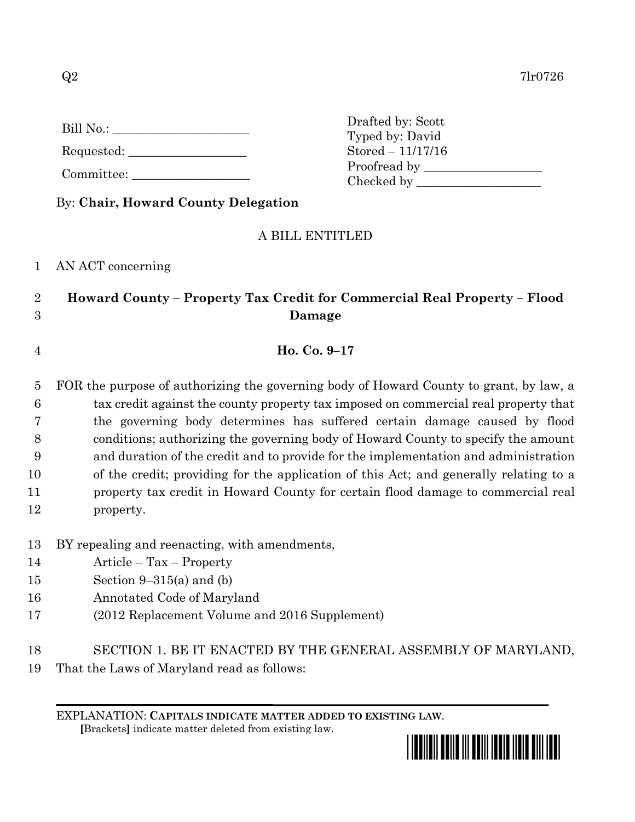| Bill No.: |  |
|-----------|--|
|           |  |

Requested:

Committee:

By: **Chair, Howard County Delegation**

## A BILL ENTITLED

1 AN ACT concerning

## 2 **Howard County – Property Tax Credit for Commercial Real Property – Flood**  3 **Damage**

4 **Ho. Co. 9–17**

 FOR the purpose of authorizing the governing body of Howard County to grant, by law, a tax credit against the county property tax imposed on commercial real property that the governing body determines has suffered certain damage caused by flood conditions; authorizing the governing body of Howard County to specify the amount and duration of the credit and to provide for the implementation and administration of the credit; providing for the application of this Act; and generally relating to a property tax credit in Howard County for certain flood damage to commercial real property.

- 13 BY repealing and reenacting, with amendments,
- 14 Article Tax Property
- 15 Section 9–315(a) and (b)
- 16 Annotated Code of Maryland
- 17 (2012 Replacement Volume and 2016 Supplement)
- 18 SECTION 1. BE IT ENACTED BY THE GENERAL ASSEMBLY OF MARYLAND,
- 19 That the Laws of Maryland read as follows:

EXPLANATION: **CAPITALS INDICATE MATTER ADDED TO EXISTING LAW**.

 **[**Brackets**]** indicate matter deleted from existing law.



Drafted by: Scott Typed by: David Stored – 11/17/16 Proofread by Checked by \_\_\_\_\_\_\_\_\_\_\_\_\_\_\_\_\_\_\_\_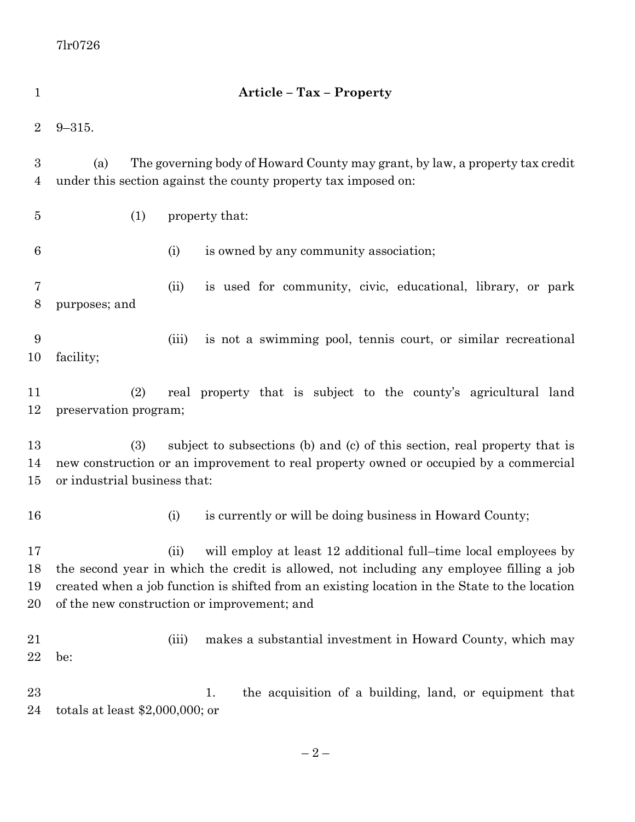| 1                                  | <b>Article - Tax - Property</b>                                                                                                                                                                                                                                                                                     |
|------------------------------------|---------------------------------------------------------------------------------------------------------------------------------------------------------------------------------------------------------------------------------------------------------------------------------------------------------------------|
| $\overline{2}$                     | $9 - 315.$                                                                                                                                                                                                                                                                                                          |
| $\boldsymbol{3}$<br>$\overline{4}$ | (a)<br>The governing body of Howard County may grant, by law, a property tax credit<br>under this section against the county property tax imposed on:                                                                                                                                                               |
| $\overline{5}$                     | (1)<br>property that:                                                                                                                                                                                                                                                                                               |
| $\boldsymbol{6}$                   | (i)<br>is owned by any community association;                                                                                                                                                                                                                                                                       |
| 7<br>8                             | is used for community, civic, educational, library, or park<br>(ii)<br>purposes; and                                                                                                                                                                                                                                |
| 9<br>10                            | is not a swimming pool, tennis court, or similar recreational<br>(iii)<br>facility;                                                                                                                                                                                                                                 |
| 11<br>12                           | (2)<br>real property that is subject to the county's agricultural land<br>preservation program;                                                                                                                                                                                                                     |
| 13<br>14<br>15                     | subject to subsections (b) and (c) of this section, real property that is<br>(3)<br>new construction or an improvement to real property owned or occupied by a commercial<br>or industrial business that:                                                                                                           |
| 16                                 | is currently or will be doing business in Howard County;<br>(i)                                                                                                                                                                                                                                                     |
| 17<br>18<br>19<br>20               | will employ at least 12 additional full–time local employees by<br>(ii)<br>the second year in which the credit is allowed, not including any employee filling a job<br>created when a job function is shifted from an existing location in the State to the location<br>of the new construction or improvement; and |
| 21<br>22                           | makes a substantial investment in Howard County, which may<br>(iii)<br>be:                                                                                                                                                                                                                                          |
| 23<br>24                           | the acquisition of a building, land, or equipment that<br>1.<br>totals at least $$2,000,000$ ; or                                                                                                                                                                                                                   |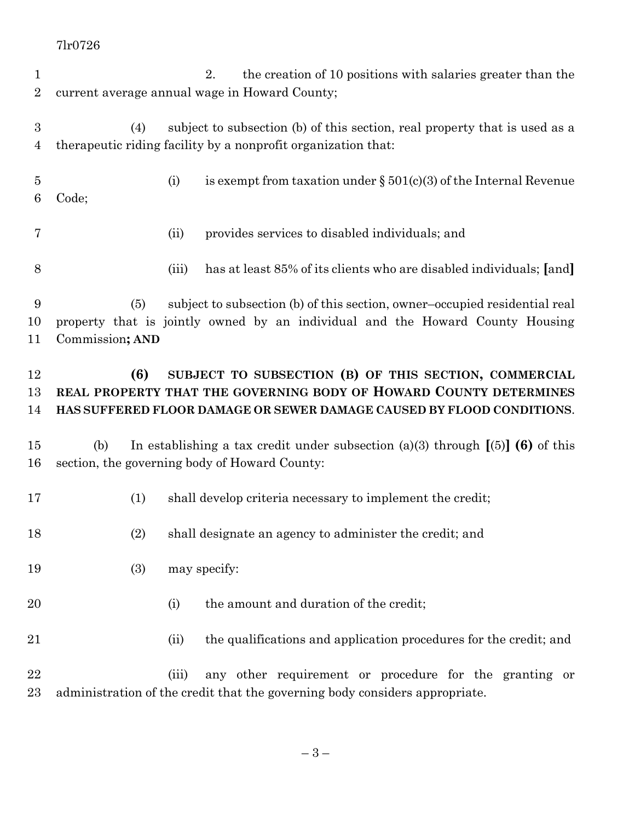7lr0726

- 2. the creation of 10 positions with salaries greater than the current average annual wage in Howard County; (4) subject to subsection (b) of this section, real property that is used as a therapeutic riding facility by a nonprofit organization that:
- (i) is exempt from taxation under § 501(c)(3) of the Internal Revenue Code;
- (ii) provides services to disabled individuals; and
- (iii) has at least 85% of its clients who are disabled individuals; **[**and**]**

 (5) subject to subsection (b) of this section, owner–occupied residential real property that is jointly owned by an individual and the Howard County Housing Commission**; AND**

## **(6) SUBJECT TO SUBSECTION (B) OF THIS SECTION, COMMERCIAL REAL PROPERTY THAT THE GOVERNING BODY OF HOWARD COUNTY DETERMINES HAS SUFFERED FLOOR DAMAGE OR SEWER DAMAGE CAUSED BY FLOOD CONDITIONS**.

- (b) In establishing a tax credit under subsection (a)(3) through **[**(5)**] (6)** of this section, the governing body of Howard County:
- (1) shall develop criteria necessary to implement the credit;
- (2) shall designate an agency to administer the credit; and
- 19 (3) may specify:
- 20 (i) the amount and duration of the credit;
- (ii) the qualifications and application procedures for the credit; and

 (iii) any other requirement or procedure for the granting or administration of the credit that the governing body considers appropriate.